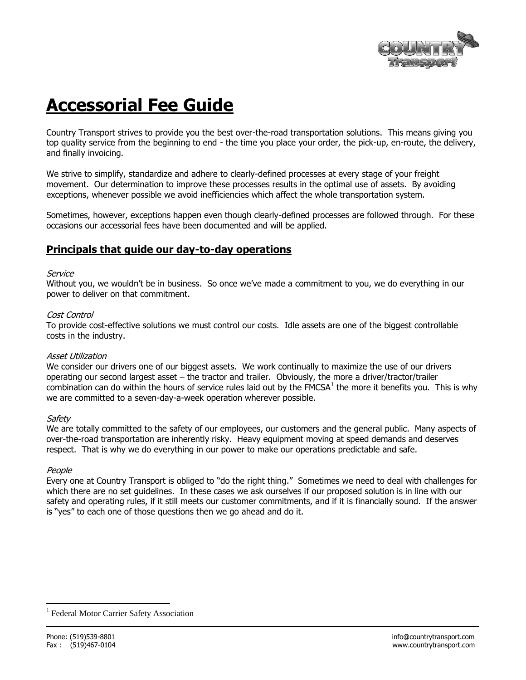

# **Accessorial Fee Guide**

Country Transport strives to provide you the best over-the-road transportation solutions. This means giving you top quality service from the beginning to end - the time you place your order, the pick-up, en-route, the delivery, and finally invoicing.

We strive to simplify, standardize and adhere to clearly-defined processes at every stage of your freight movement. Our determination to improve these processes results in the optimal use of assets. By avoiding exceptions, whenever possible we avoid inefficiencies which affect the whole transportation system.

Sometimes, however, exceptions happen even though clearly-defined processes are followed through. For these occasions our accessorial fees have been documented and will be applied.

### **Principals that guide our day-to-day operations**

#### Service

Without you, we wouldn't be in business. So once we've made a commitment to you, we do everything in our power to deliver on that commitment.

#### Cost Control

To provide cost-effective solutions we must control our costs. Idle assets are one of the biggest controllable costs in the industry.

#### Asset Utilization

We consider our drivers one of our biggest assets. We work continually to maximize the use of our drivers operating our second largest asset – the tractor and trailer. Obviously, the more a driver/tractor/trailer combination can do within the hours of service rules laid out by the FMCSA $^1$  the more it benefits you. This is why we are committed to a seven-day-a-week operation wherever possible.

#### Safety

We are totally committed to the safety of our employees, our customers and the general public. Many aspects of over-the-road transportation are inherently risky. Heavy equipment moving at speed demands and deserves respect. That is why we do everything in our power to make our operations predictable and safe.

#### People

 $\overline{a}$ 

Every one at Country Transport is obliged to "do the right thing." Sometimes we need to deal with challenges for which there are no set guidelines. In these cases we ask ourselves if our proposed solution is in line with our safety and operating rules, if it still meets our customer commitments, and if it is financially sound. If the answer is "yes" to each one of those questions then we go ahead and do it.

<sup>1</sup> Federal Motor Carrier Safety Association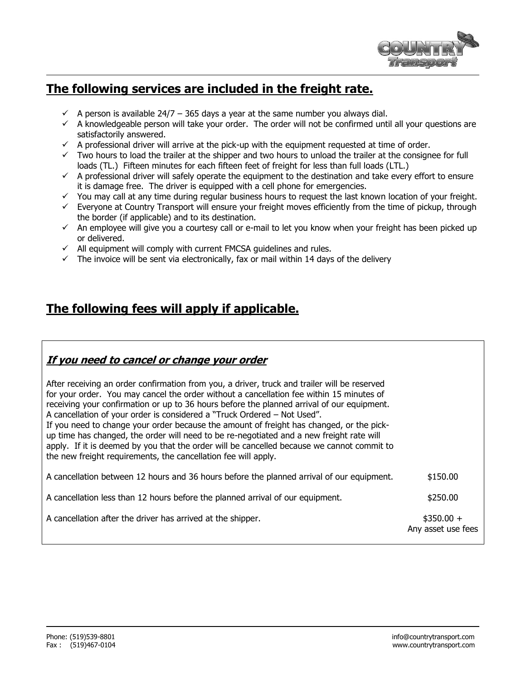

# **The following services are included in the freight rate.**

- $\checkmark$  A person is available 24/7 365 days a year at the same number you always dial.
- $\checkmark$  A knowledgeable person will take your order. The order will not be confirmed until all your questions are satisfactorily answered.
- $\checkmark$  A professional driver will arrive at the pick-up with the equipment requested at time of order.
- $\checkmark$  Two hours to load the trailer at the shipper and two hours to unload the trailer at the consignee for full loads (TL.) Fifteen minutes for each fifteen feet of freight for less than full loads (LTL.)
- $\checkmark$  A professional driver will safely operate the equipment to the destination and take every effort to ensure it is damage free. The driver is equipped with a cell phone for emergencies.
- $\checkmark$  You may call at any time during regular business hours to request the last known location of your freight.
- $\checkmark$  Everyone at Country Transport will ensure your freight moves efficiently from the time of pickup, through the border (if applicable) and to its destination.
- $\checkmark$  An employee will give you a courtesy call or e-mail to let you know when your freight has been picked up or delivered.
- $\checkmark$  All equipment will comply with current FMCSA guidelines and rules.
- $\checkmark$  The invoice will be sent via electronically, fax or mail within 14 days of the delivery

# **The following fees will apply if applicable.**

# **If you need to cancel or change your order**

| After receiving an order confirmation from you, a driver, truck and trailer will be reserved<br>for your order. You may cancel the order without a cancellation fee within 15 minutes of<br>receiving your confirmation or up to 36 hours before the planned arrival of our equipment.<br>A cancellation of your order is considered a "Truck Ordered – Not Used".<br>If you need to change your order because the amount of freight has changed, or the pick-<br>up time has changed, the order will need to be re-negotiated and a new freight rate will<br>apply. If it is deemed by you that the order will be cancelled because we cannot commit to<br>the new freight requirements, the cancellation fee will apply. |          |
|----------------------------------------------------------------------------------------------------------------------------------------------------------------------------------------------------------------------------------------------------------------------------------------------------------------------------------------------------------------------------------------------------------------------------------------------------------------------------------------------------------------------------------------------------------------------------------------------------------------------------------------------------------------------------------------------------------------------------|----------|
| A cancellation between 12 hours and 36 hours before the planned arrival of our equipment.                                                                                                                                                                                                                                                                                                                                                                                                                                                                                                                                                                                                                                  | \$150.00 |

| A cancellation less than 12 hours before the planned arrival of our equipment. | \$250.00 |
|--------------------------------------------------------------------------------|----------|
|--------------------------------------------------------------------------------|----------|

A cancellation after the driver has arrived at the shipper.  $$350.00 + $350.00 + $350.00 + $350.00 + $350.00 + $350.00 + $350.00 + $350.00 + $350.00 + $350.00 + $350.00 + $350.00 + $350.00 + $350.00 + $350.00 + $350.00 + $350.00 + $350.00 + $350.00 + $350.00 +$ 

Any asset use fees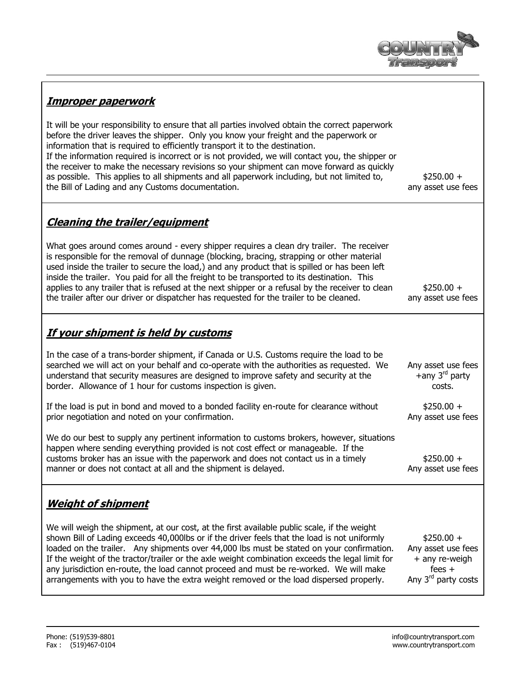

# **Improper paperwork**

It will be your responsibility to ensure that all parties involved obtain the correct paperwork before the driver leaves the shipper. Only you know your freight and the paperwork or information that is required to efficiently transport it to the destination. If the information required is incorrect or is not provided, we will contact you, the shipper or the receiver to make the necessary revisions so your shipment can move forward as quickly as possible. This applies to all shipments and all paperwork including, but not limited to, the Bill of Lading and any Customs documentation.

 $$250.00 +$ any asset use fees

## **Cleaning the trailer/equipment**

What goes around comes around - every shipper requires a clean dry trailer. The receiver is responsible for the removal of dunnage (blocking, bracing, strapping or other material used inside the trailer to secure the load,) and any product that is spilled or has been left inside the trailer. You paid for all the freight to be transported to its destination. This applies to any trailer that is refused at the next shipper or a refusal by the receiver to clean the trailer after our driver or dispatcher has requested for the trailer to be cleaned.

 $$250.00 +$ any asset use fees

## **If your shipment is held by customs**

In the case of a trans-border shipment, if Canada or U.S. Customs require the load to be searched we will act on your behalf and co-operate with the authorities as requested. We understand that security measures are designed to improve safety and security at the border. Allowance of 1 hour for customs inspection is given.

If the load is put in bond and moved to a bonded facility en-route for clearance without prior negotiation and noted on your confirmation.

We do our best to supply any pertinent information to customs brokers, however, situations happen where sending everything provided is not cost effect or manageable. If the customs broker has an issue with the paperwork and does not contact us in a timely manner or does not contact at all and the shipment is delayed.

#### Any asset use fees  $+$ any 3<sup>rd</sup> party costs.

 $$250.00 +$ Any asset use fees

 $$250.00 +$ Any asset use fees

# **Weight of shipment**

We will weigh the shipment, at our cost, at the first available public scale, if the weight shown Bill of Lading exceeds 40,000lbs or if the driver feels that the load is not uniformly loaded on the trailer. Any shipments over 44,000 lbs must be stated on your confirmation. If the weight of the tractor/trailer or the axle weight combination exceeds the legal limit for any jurisdiction en-route, the load cannot proceed and must be re-worked. We will make arrangements with you to have the extra weight removed or the load dispersed properly.

 $$250.00 +$ Any asset use fees + any re-weigh fees + Any  $3<sup>rd</sup>$  party costs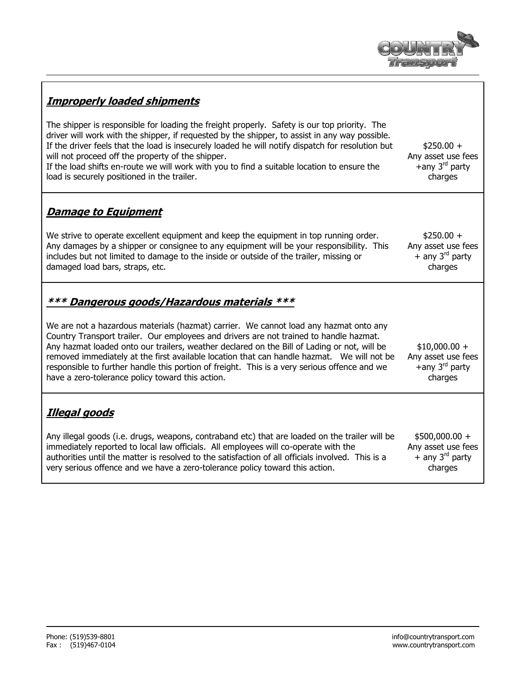

# **Improperly loaded shipments**

The shipper is responsible for loading the freight properly. Safety is our top priority. The driver will work with the shipper, if requested by the shipper, to assist in any way possible. If the driver feels that the load is insecurely loaded he will notify dispatch for resolution but will not proceed off the property of the shipper.

If the load shifts en-route we will work with you to find a suitable location to ensure the load is securely positioned in the trailer.

#### $$250.00 +$ Any asset use fees +any 3<sup>rd</sup> party charges

## **Damage to Equipment**

We strive to operate excellent equipment and keep the equipment in top running order. Any damages by a shipper or consignee to any equipment will be your responsibility. This includes but not limited to damage to the inside or outside of the trailer, missing or damaged load bars, straps, etc.

 $$250.00 +$ Any asset use fees  $+$  any 3<sup>rd</sup> party charges

## **\*\*\* Dangerous goods/Hazardous materials \*\*\***

We are not a hazardous materials (hazmat) carrier. We cannot load any hazmat onto any Country Transport trailer. Our employees and drivers are not trained to handle hazmat. Any hazmat loaded onto our trailers, weather declared on the Bill of Lading or not, will be removed immediately at the first available location that can handle hazmat. We will not be responsible to further handle this portion of freight. This is a very serious offence and we have a zero-tolerance policy toward this action.  $$10,000.00 +$ Any asset use fees  $+$ any 3<sup>rd</sup> party charges

# **Illegal goods**

Any illegal goods (i.e. drugs, weapons, contraband etc) that are loaded on the trailer will be immediately reported to local law officials. All employees will co-operate with the authorities until the matter is resolved to the satisfaction of all officials involved. This is a very serious offence and we have a zero-tolerance policy toward this action.

\$500,000.00 + Any asset use fees + any 3<sup>rd</sup> party charges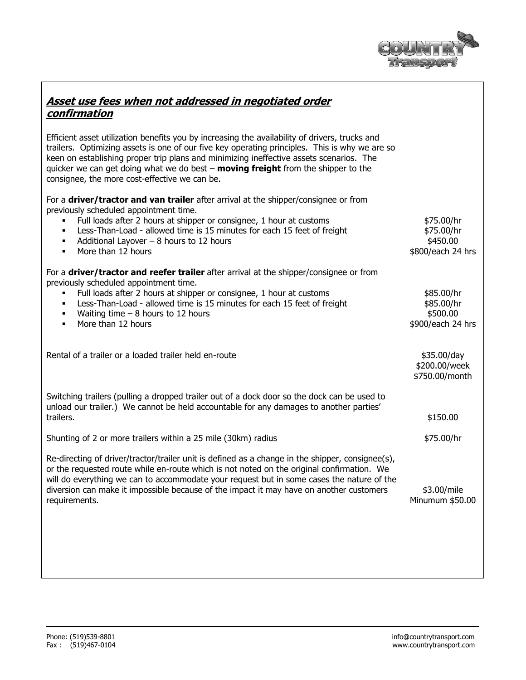

| Asset use fees when not addressed in negotiated order |  |
|-------------------------------------------------------|--|
| confirmation                                          |  |

Efficient asset utilization benefits you by increasing the availability of drivers, trucks and trailers. Optimizing assets is one of our five key operating principles. This is why we are so keen on establishing proper trip plans and minimizing ineffective assets scenarios. The quicker we can get doing what we do best – **moving freight** from the shipper to the consignee, the more cost-effective we can be.

For a **driver/tractor and van trailer** after arrival at the shipper/consignee or from previously scheduled appointment time.

| Full loads after 2 hours at shipper or consignee, 1 hour at customs<br>Less-Than-Load - allowed time is 15 minutes for each 15 feet of freight<br>٠<br>Additional Layover $-8$ hours to 12 hours<br>More than 12 hours                                                                                                                                                                                 | \$75.00/hr<br>\$75.00/hr<br>\$450.00<br>\$800/each 24 hrs |
|--------------------------------------------------------------------------------------------------------------------------------------------------------------------------------------------------------------------------------------------------------------------------------------------------------------------------------------------------------------------------------------------------------|-----------------------------------------------------------|
| For a driver/tractor and reefer trailer after arrival at the shipper/consignee or from<br>previously scheduled appointment time.<br>Full loads after 2 hours at shipper or consignee, 1 hour at customs<br>Less-Than-Load - allowed time is 15 minutes for each 15 feet of freight<br>Waiting time $-8$ hours to 12 hours<br>More than 12 hours<br>$\blacksquare$                                      | \$85.00/hr<br>\$85.00/hr<br>\$500.00<br>\$900/each 24 hrs |
| Rental of a trailer or a loaded trailer held en-route                                                                                                                                                                                                                                                                                                                                                  | \$35.00/day<br>\$200.00/week<br>\$750.00/month            |
| Switching trailers (pulling a dropped trailer out of a dock door so the dock can be used to<br>unload our trailer.) We cannot be held accountable for any damages to another parties'<br>trailers.                                                                                                                                                                                                     | \$150.00                                                  |
| Shunting of 2 or more trailers within a 25 mile (30km) radius                                                                                                                                                                                                                                                                                                                                          | \$75.00/hr                                                |
| Re-directing of driver/tractor/trailer unit is defined as a change in the shipper, consignee(s),<br>or the requested route while en-route which is not noted on the original confirmation. We<br>will do everything we can to accommodate your request but in some cases the nature of the<br>diversion can make it impossible because of the impact it may have on another customers<br>requirements. | \$3.00/mile<br>Minumum \$50.00                            |